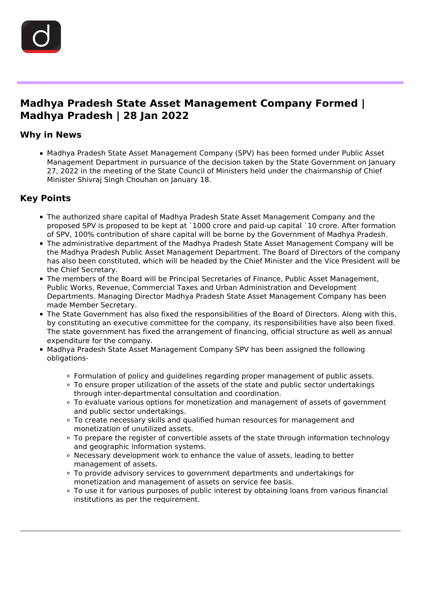

in the control of the control of the control of the control of the control of the control of the control of th<br>The control of the control of the control of the control of the control of the control of the control of the c

## **Madhya Pradesh State Asset Management Company Formed | Madhya Pradesh | 28 Jan 2022**

#### **Why in News**

Madhya Pradesh State Asset Management Company (SPV) has been formed under Public Asset Management Department in pursuance of the decision taken by the State Government on January 27, 2022 in the meeting of the State Council of Ministers held under the chairmanship of Chief Minister Shivraj Singh Chouhan on January 18.

## **Key Points**

- The authorized share capital of Madhya Pradesh State Asset Management Company and the proposed SPV is proposed to be kept at `1000 crore and paid-up capital `10 crore. After formation of SPV, 100% contribution of share capital will be borne by the Government of Madhya Pradesh.
- The administrative department of the Madhya Pradesh State Asset Management Company will be the Madhya Pradesh Public Asset Management Department. The Board of Directors of the company has also been constituted, which will be headed by the Chief Minister and the Vice President will be the Chief Secretary.
- The members of the Board will be Principal Secretaries of Finance, Public Asset Management, Public Works, Revenue, Commercial Taxes and Urban Administration and Development Departments. Managing Director Madhya Pradesh State Asset Management Company has been made Member Secretary.
- The State Government has also fixed the responsibilities of the Board of Directors. Along with this, by constituting an executive committee for the company, its responsibilities have also been fixed. The state government has fixed the arrangement of financing, official structure as well as annual expenditure for the company.
- **Madhya Pradesh State Asset Management Company SPV has been assigned the following** obligations-
	- Formulation of policy and guidelines regarding proper management of public assets.
	- To ensure proper utilization of the assets of the state and public sector undertakings through inter-departmental consultation and coordination.
	- To evaluate various options for monetization and management of assets of government and public sector undertakings.
	- To create necessary skills and qualified human resources for management and monetization of unutilized assets.
	- To prepare the register of convertible assets of the state through information technology and geographic information systems.
	- Necessary development work to enhance the value of assets, leading to better management of assets.
	- To provide advisory services to government departments and undertakings for monetization and management of assets on service fee basis.
	- To use it for various purposes of public interest by obtaining loans from various financial institutions as per the requirement.